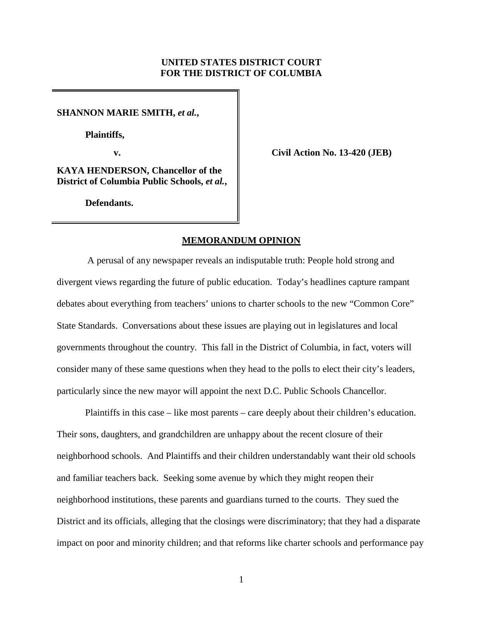# **UNITED STATES DISTRICT COURT FOR THE DISTRICT OF COLUMBIA**

**SHANNON MARIE SMITH,** *et al.***,**

**Plaintiffs,**

**v. Civil Action No. 13-420 (JEB)**

**KAYA HENDERSON, Chancellor of the District of Columbia Public Schools,** *et al.***,**

**Defendants.**

# **MEMORANDUM OPINION**

A perusal of any newspaper reveals an indisputable truth: People hold strong and divergent views regarding the future of public education. Today's headlines capture rampant debates about everything from teachers' unions to charter schools to the new "Common Core" State Standards. Conversations about these issues are playing out in legislatures and local governments throughout the country. This fall in the District of Columbia, in fact, voters will consider many of these same questions when they head to the polls to elect their city's leaders, particularly since the new mayor will appoint the next D.C. Public Schools Chancellor.

Plaintiffs in this case – like most parents – care deeply about their children's education. Their sons, daughters, and grandchildren are unhappy about the recent closure of their neighborhood schools. And Plaintiffs and their children understandably want their old schools and familiar teachers back. Seeking some avenue by which they might reopen their neighborhood institutions, these parents and guardians turned to the courts. They sued the District and its officials, alleging that the closings were discriminatory; that they had a disparate impact on poor and minority children; and that reforms like charter schools and performance pay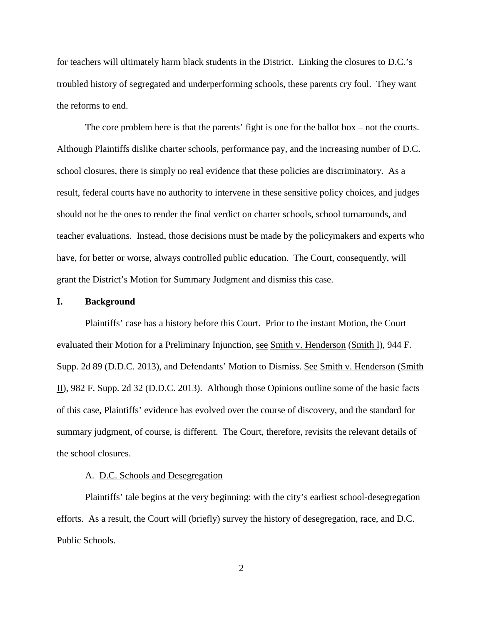for teachers will ultimately harm black students in the District. Linking the closures to D.C.'s troubled history of segregated and underperforming schools, these parents cry foul. They want the reforms to end.

The core problem here is that the parents' fight is one for the ballot box – not the courts. Although Plaintiffs dislike charter schools, performance pay, and the increasing number of D.C. school closures, there is simply no real evidence that these policies are discriminatory. As a result, federal courts have no authority to intervene in these sensitive policy choices, and judges should not be the ones to render the final verdict on charter schools, school turnarounds, and teacher evaluations. Instead, those decisions must be made by the policymakers and experts who have, for better or worse, always controlled public education. The Court, consequently, will grant the District's Motion for Summary Judgment and dismiss this case.

#### **I. Background**

Plaintiffs' case has a history before this Court. Prior to the instant Motion, the Court evaluated their Motion for a Preliminary Injunction, see Smith v. Henderson (Smith I), 944 F. Supp. 2d 89 (D.D.C. 2013), and Defendants' Motion to Dismiss. See Smith v. Henderson (Smith II), 982 F. Supp. 2d 32 (D.D.C. 2013). Although those Opinions outline some of the basic facts of this case, Plaintiffs' evidence has evolved over the course of discovery, and the standard for summary judgment, of course, is different. The Court, therefore, revisits the relevant details of the school closures.

# A. D.C. Schools and Desegregation

Plaintiffs' tale begins at the very beginning: with the city's earliest school-desegregation efforts. As a result, the Court will (briefly) survey the history of desegregation, race, and D.C. Public Schools.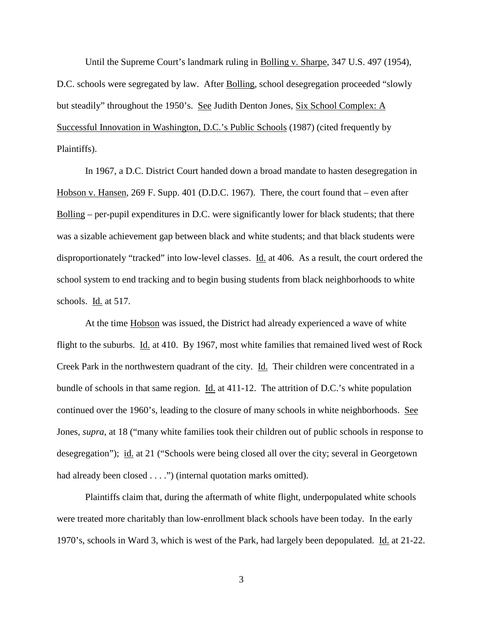Until the Supreme Court's landmark ruling in Bolling v. Sharpe, 347 U.S. 497 (1954), D.C. schools were segregated by law. After Bolling, school desegregation proceeded "slowly but steadily" throughout the 1950's. See Judith Denton Jones, Six School Complex: A Successful Innovation in Washington, D.C.'s Public Schools (1987) (cited frequently by Plaintiffs).

In 1967, a D.C. District Court handed down a broad mandate to hasten desegregation in Hobson v. Hansen, 269 F. Supp. 401 (D.D.C. 1967). There, the court found that – even after Bolling – per-pupil expenditures in D.C. were significantly lower for black students; that there was a sizable achievement gap between black and white students; and that black students were disproportionately "tracked" into low-level classes. Id. at 406. As a result, the court ordered the school system to end tracking and to begin busing students from black neighborhoods to white schools. Id. at 517.

At the time Hobson was issued, the District had already experienced a wave of white flight to the suburbs. Id. at 410. By 1967, most white families that remained lived west of Rock Creek Park in the northwestern quadrant of the city. Id. Their children were concentrated in a bundle of schools in that same region. Id. at 411-12. The attrition of D.C.'s white population continued over the 1960's, leading to the closure of many schools in white neighborhoods. See Jones, *supra*, at 18 ("many white families took their children out of public schools in response to desegregation"); id. at 21 ("Schools were being closed all over the city; several in Georgetown had already been closed . . . .") (internal quotation marks omitted).

Plaintiffs claim that, during the aftermath of white flight, underpopulated white schools were treated more charitably than low-enrollment black schools have been today. In the early 1970's, schools in Ward 3, which is west of the Park, had largely been depopulated. Id. at 21-22.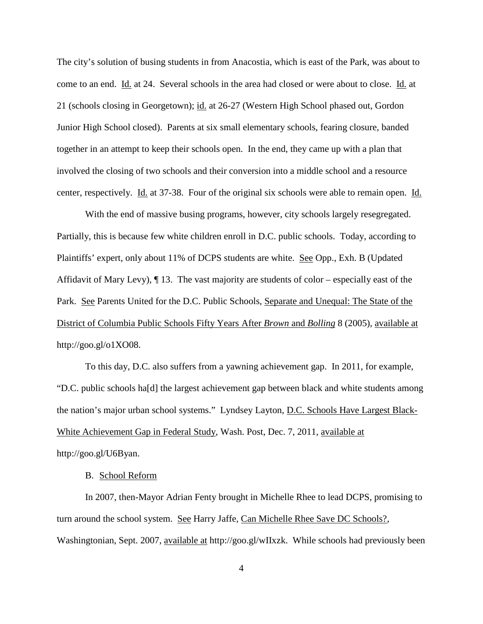The city's solution of busing students in from Anacostia, which is east of the Park, was about to come to an end. Id. at 24. Several schools in the area had closed or were about to close. Id. at 21 (schools closing in Georgetown); id. at 26-27 (Western High School phased out, Gordon Junior High School closed). Parents at six small elementary schools, fearing closure, banded together in an attempt to keep their schools open. In the end, they came up with a plan that involved the closing of two schools and their conversion into a middle school and a resource center, respectively. Id. at 37-38. Four of the original six schools were able to remain open. Id.

With the end of massive busing programs, however, city schools largely resegregated. Partially, this is because few white children enroll in D.C. public schools. Today, according to Plaintiffs' expert, only about 11% of DCPS students are white. See Opp., Exh. B (Updated Affidavit of Mary Levy), ¶ 13. The vast majority are students of color – especially east of the Park. See Parents United for the D.C. Public Schools, Separate and Unequal: The State of the District of Columbia Public Schools Fifty Years After *Brown* and *Bolling* 8 (2005), available at http://goo.gl/o1XO08.

To this day, D.C. also suffers from a yawning achievement gap. In 2011, for example, "D.C. public schools ha[d] the largest achievement gap between black and white students among the nation's major urban school systems." Lyndsey Layton, D.C. Schools Have Largest Black-White Achievement Gap in Federal Study, Wash. Post, Dec. 7, 2011, available at http://goo.gl/U6Byan.

# B. School Reform

In 2007, then-Mayor Adrian Fenty brought in Michelle Rhee to lead DCPS, promising to turn around the school system. See Harry Jaffe, Can Michelle Rhee Save DC Schools?, Washingtonian, Sept. 2007, available at http://goo.gl/wIIxzk. While schools had previously been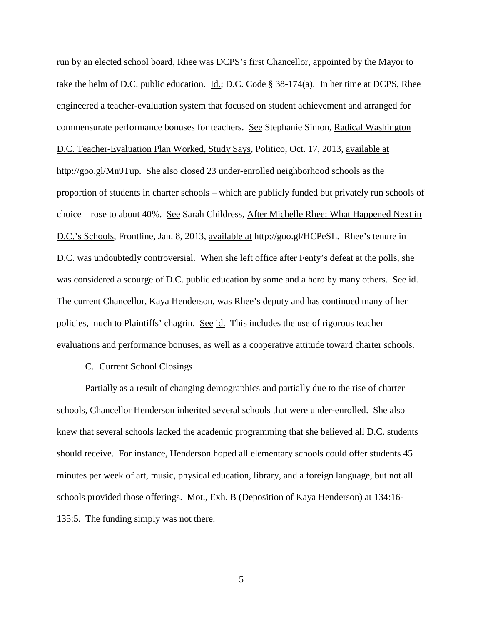run by an elected school board, Rhee was DCPS's first Chancellor, appointed by the Mayor to take the helm of D.C. public education. Id.; D.C. Code § 38-174(a). In her time at DCPS, Rhee engineered a teacher-evaluation system that focused on student achievement and arranged for commensurate performance bonuses for teachers. See Stephanie Simon, Radical Washington D.C. Teacher-Evaluation Plan Worked, Study Says, Politico, Oct. 17, 2013, available at http://goo.gl/Mn9Tup. She also closed 23 under-enrolled neighborhood schools as the proportion of students in charter schools – which are publicly funded but privately run schools of choice – rose to about 40%. See Sarah Childress, After Michelle Rhee: What Happened Next in D.C.'s Schools, Frontline, Jan. 8, 2013, available at http://goo.gl/HCPeSL. Rhee's tenure in D.C. was undoubtedly controversial. When she left office after Fenty's defeat at the polls, she was considered a scourge of D.C. public education by some and a hero by many others. See id. The current Chancellor, Kaya Henderson, was Rhee's deputy and has continued many of her policies, much to Plaintiffs' chagrin. See id. This includes the use of rigorous teacher evaluations and performance bonuses, as well as a cooperative attitude toward charter schools.

### C. Current School Closings

Partially as a result of changing demographics and partially due to the rise of charter schools, Chancellor Henderson inherited several schools that were under-enrolled. She also knew that several schools lacked the academic programming that she believed all D.C. students should receive. For instance, Henderson hoped all elementary schools could offer students 45 minutes per week of art, music, physical education, library, and a foreign language, but not all schools provided those offerings. Mot., Exh. B (Deposition of Kaya Henderson) at 134:16- 135:5. The funding simply was not there.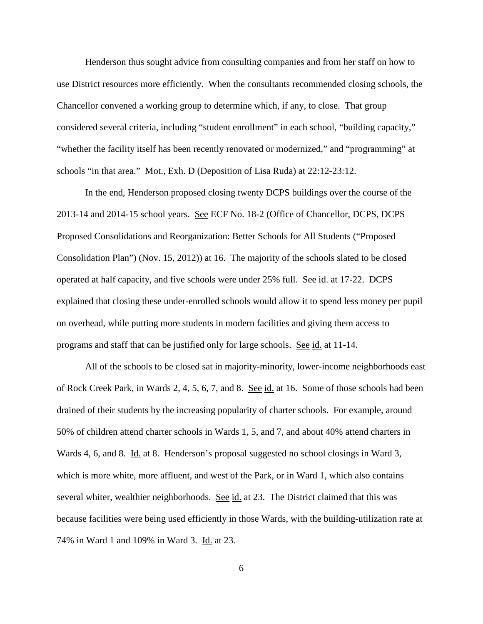Henderson thus sought advice from consulting companies and from her staff on how to use District resources more efficiently. When the consultants recommended closing schools, the Chancellor convened a working group to determine which, if any, to close. That group considered several criteria, including "student enrollment" in each school, "building capacity," "whether the facility itself has been recently renovated or modernized," and "programming" at schools "in that area." Mot., Exh. D (Deposition of Lisa Ruda) at 22:12-23:12.

In the end, Henderson proposed closing twenty DCPS buildings over the course of the 2013-14 and 2014-15 school years. See ECF No. 18-2 (Office of Chancellor, DCPS, DCPS Proposed Consolidations and Reorganization: Better Schools for All Students ("Proposed Consolidation Plan") (Nov. 15, 2012)) at 16. The majority of the schools slated to be closed operated at half capacity, and five schools were under 25% full. See id. at 17-22. DCPS explained that closing these under-enrolled schools would allow it to spend less money per pupil on overhead, while putting more students in modern facilities and giving them access to programs and staff that can be justified only for large schools. See id. at 11-14.

All of the schools to be closed sat in majority-minority, lower-income neighborhoods east of Rock Creek Park, in Wards 2, 4, 5, 6, 7, and 8. See id. at 16. Some of those schools had been drained of their students by the increasing popularity of charter schools. For example, around 50% of children attend charter schools in Wards 1, 5, and 7, and about 40% attend charters in Wards 4, 6, and 8. Id. at 8. Henderson's proposal suggested no school closings in Ward 3, which is more white, more affluent, and west of the Park, or in Ward 1, which also contains several whiter, wealthier neighborhoods. See id. at 23. The District claimed that this was because facilities were being used efficiently in those Wards, with the building-utilization rate at 74% in Ward 1 and 109% in Ward 3. Id. at 23.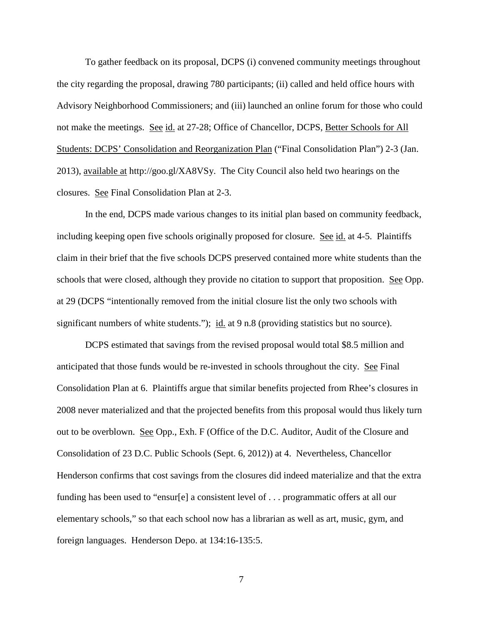To gather feedback on its proposal, DCPS (i) convened community meetings throughout the city regarding the proposal, drawing 780 participants; (ii) called and held office hours with Advisory Neighborhood Commissioners; and (iii) launched an online forum for those who could not make the meetings. See id. at 27-28; Office of Chancellor, DCPS, Better Schools for All Students: DCPS' Consolidation and Reorganization Plan ("Final Consolidation Plan") 2-3 (Jan. 2013), available at http://goo.gl/XA8VSy. The City Council also held two hearings on the closures. See Final Consolidation Plan at 2-3.

In the end, DCPS made various changes to its initial plan based on community feedback, including keeping open five schools originally proposed for closure. See id. at 4-5. Plaintiffs claim in their brief that the five schools DCPS preserved contained more white students than the schools that were closed, although they provide no citation to support that proposition. See Opp. at 29 (DCPS "intentionally removed from the initial closure list the only two schools with significant numbers of white students."); id. at 9 n.8 (providing statistics but no source).

DCPS estimated that savings from the revised proposal would total \$8.5 million and anticipated that those funds would be re-invested in schools throughout the city. See Final Consolidation Plan at 6. Plaintiffs argue that similar benefits projected from Rhee's closures in 2008 never materialized and that the projected benefits from this proposal would thus likely turn out to be overblown. See Opp., Exh. F (Office of the D.C. Auditor, Audit of the Closure and Consolidation of 23 D.C. Public Schools (Sept. 6, 2012)) at 4. Nevertheless, Chancellor Henderson confirms that cost savings from the closures did indeed materialize and that the extra funding has been used to "ensur[e] a consistent level of . . . programmatic offers at all our elementary schools," so that each school now has a librarian as well as art, music, gym, and foreign languages. Henderson Depo. at 134:16-135:5.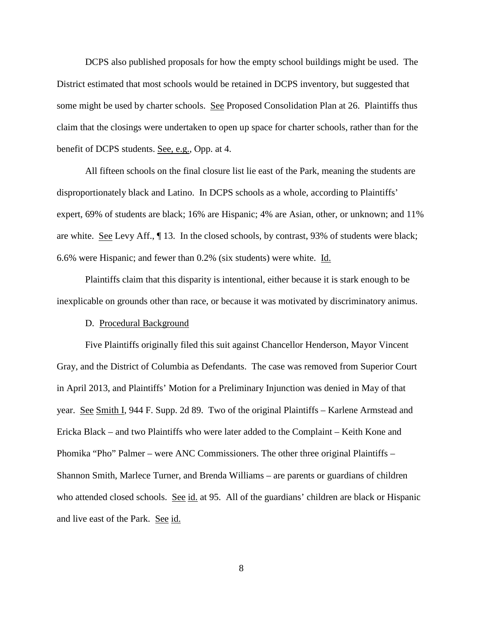DCPS also published proposals for how the empty school buildings might be used. The District estimated that most schools would be retained in DCPS inventory, but suggested that some might be used by charter schools. See Proposed Consolidation Plan at 26. Plaintiffs thus claim that the closings were undertaken to open up space for charter schools, rather than for the benefit of DCPS students. See, e.g., Opp. at 4.

All fifteen schools on the final closure list lie east of the Park, meaning the students are disproportionately black and Latino. In DCPS schools as a whole, according to Plaintiffs' expert, 69% of students are black; 16% are Hispanic; 4% are Asian, other, or unknown; and 11% are white. See Levy Aff., ¶ 13. In the closed schools, by contrast, 93% of students were black; 6.6% were Hispanic; and fewer than 0.2% (six students) were white. Id.

Plaintiffs claim that this disparity is intentional, either because it is stark enough to be inexplicable on grounds other than race, or because it was motivated by discriminatory animus.

## D. Procedural Background

Five Plaintiffs originally filed this suit against Chancellor Henderson, Mayor Vincent Gray, and the District of Columbia as Defendants. The case was removed from Superior Court in April 2013, and Plaintiffs' Motion for a Preliminary Injunction was denied in May of that year. See Smith I, 944 F. Supp. 2d 89. Two of the original Plaintiffs – Karlene Armstead and Ericka Black – and two Plaintiffs who were later added to the Complaint – Keith Kone and Phomika "Pho" Palmer – were ANC Commissioners. The other three original Plaintiffs – Shannon Smith, Marlece Turner, and Brenda Williams – are parents or guardians of children who attended closed schools. See id. at 95. All of the guardians' children are black or Hispanic and live east of the Park. See id.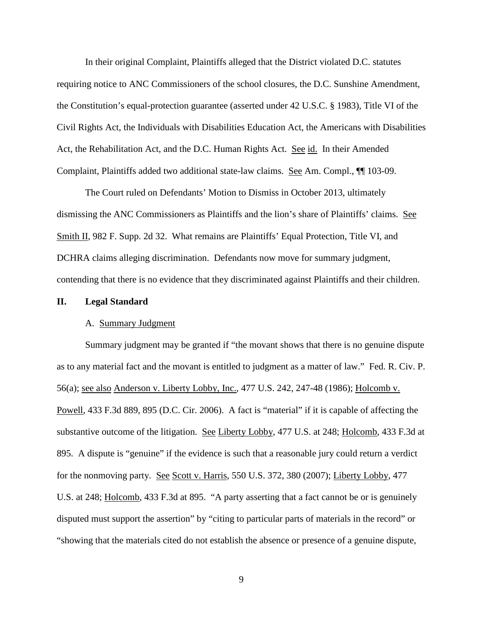In their original Complaint, Plaintiffs alleged that the District violated D.C. statutes requiring notice to ANC Commissioners of the school closures, the D.C. Sunshine Amendment, the Constitution's equal-protection guarantee (asserted under 42 U.S.C. § 1983), Title VI of the Civil Rights Act, the Individuals with Disabilities Education Act, the Americans with Disabilities Act, the Rehabilitation Act, and the D.C. Human Rights Act. See id. In their Amended Complaint, Plaintiffs added two additional state-law claims. See Am. Compl., ¶¶ 103-09.

The Court ruled on Defendants' Motion to Dismiss in October 2013, ultimately dismissing the ANC Commissioners as Plaintiffs and the lion's share of Plaintiffs' claims. See Smith II, 982 F. Supp. 2d 32. What remains are Plaintiffs' Equal Protection, Title VI, and DCHRA claims alleging discrimination. Defendants now move for summary judgment, contending that there is no evidence that they discriminated against Plaintiffs and their children.

### **II. Legal Standard**

## A. Summary Judgment

Summary judgment may be granted if "the movant shows that there is no genuine dispute as to any material fact and the movant is entitled to judgment as a matter of law." Fed. R. Civ. P. 56(a); see also Anderson v. Liberty Lobby, Inc., 477 U.S. 242, 247-48 (1986); Holcomb v. Powell, 433 F.3d 889, 895 (D.C. Cir. 2006). A fact is "material" if it is capable of affecting the substantive outcome of the litigation. See Liberty Lobby, 477 U.S. at 248; Holcomb, 433 F.3d at 895. A dispute is "genuine" if the evidence is such that a reasonable jury could return a verdict for the nonmoving party. See Scott v. Harris, 550 U.S. 372, 380 (2007); Liberty Lobby, 477 U.S. at 248; Holcomb, 433 F.3d at 895. "A party asserting that a fact cannot be or is genuinely disputed must support the assertion" by "citing to particular parts of materials in the record" or "showing that the materials cited do not establish the absence or presence of a genuine dispute,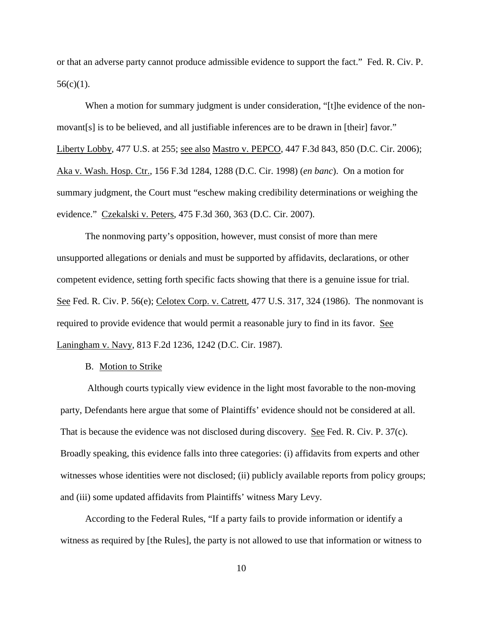or that an adverse party cannot produce admissible evidence to support the fact." Fed. R. Civ. P.  $56(c)(1)$ .

When a motion for summary judgment is under consideration, "[t]he evidence of the nonmovant[s] is to be believed, and all justifiable inferences are to be drawn in [their] favor." Liberty Lobby, 477 U.S. at 255; see also Mastro v. PEPCO, 447 F.3d 843, 850 (D.C. Cir. 2006); Aka v. Wash. Hosp. Ctr., 156 F.3d 1284, 1288 (D.C. Cir. 1998) (*en banc*). On a motion for summary judgment, the Court must "eschew making credibility determinations or weighing the evidence." Czekalski v. Peters, 475 F.3d 360, 363 (D.C. Cir. 2007).

The nonmoving party's opposition, however, must consist of more than mere unsupported allegations or denials and must be supported by affidavits, declarations, or other competent evidence, setting forth specific facts showing that there is a genuine issue for trial. See Fed. R. Civ. P. 56(e); Celotex Corp. v. Catrett, 477 U.S. 317, 324 (1986). The nonmovant is required to provide evidence that would permit a reasonable jury to find in its favor. See Laningham v. Navy, 813 F.2d 1236, 1242 (D.C. Cir. 1987).

### B. Motion to Strike

Although courts typically view evidence in the light most favorable to the non-moving party, Defendants here argue that some of Plaintiffs' evidence should not be considered at all. That is because the evidence was not disclosed during discovery. See Fed. R. Civ. P. 37(c). Broadly speaking, this evidence falls into three categories: (i) affidavits from experts and other witnesses whose identities were not disclosed; (ii) publicly available reports from policy groups; and (iii) some updated affidavits from Plaintiffs' witness Mary Levy.

According to the Federal Rules, "If a party fails to provide information or identify a witness as required by [the Rules], the party is not allowed to use that information or witness to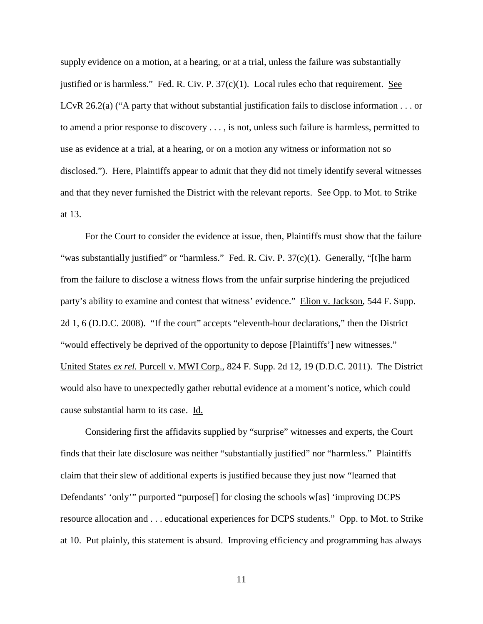supply evidence on a motion, at a hearing, or at a trial, unless the failure was substantially justified or is harmless." Fed. R. Civ. P. 37(c)(1). Local rules echo that requirement. See LCvR 26.2(a) ("A party that without substantial justification fails to disclose information . . . or to amend a prior response to discovery . . . , is not, unless such failure is harmless, permitted to use as evidence at a trial, at a hearing, or on a motion any witness or information not so disclosed."). Here, Plaintiffs appear to admit that they did not timely identify several witnesses and that they never furnished the District with the relevant reports. See Opp. to Mot. to Strike at 13.

For the Court to consider the evidence at issue, then, Plaintiffs must show that the failure "was substantially justified" or "harmless." Fed. R. Civ. P. 37(c)(1). Generally, "[t]he harm from the failure to disclose a witness flows from the unfair surprise hindering the prejudiced party's ability to examine and contest that witness' evidence." Elion v. Jackson, 544 F. Supp. 2d 1, 6 (D.D.C. 2008). "If the court" accepts "eleventh-hour declarations," then the District "would effectively be deprived of the opportunity to depose [Plaintiffs'] new witnesses." United States *ex rel.* Purcell v. MWI Corp., 824 F. Supp. 2d 12, 19 (D.D.C. 2011). The District would also have to unexpectedly gather rebuttal evidence at a moment's notice, which could cause substantial harm to its case. Id.

Considering first the affidavits supplied by "surprise" witnesses and experts, the Court finds that their late disclosure was neither "substantially justified" nor "harmless." Plaintiffs claim that their slew of additional experts is justified because they just now "learned that Defendants' 'only'" purported "purpose[] for closing the schools w[as] 'improving DCPS resource allocation and . . . educational experiences for DCPS students." Opp. to Mot. to Strike at 10. Put plainly, this statement is absurd. Improving efficiency and programming has always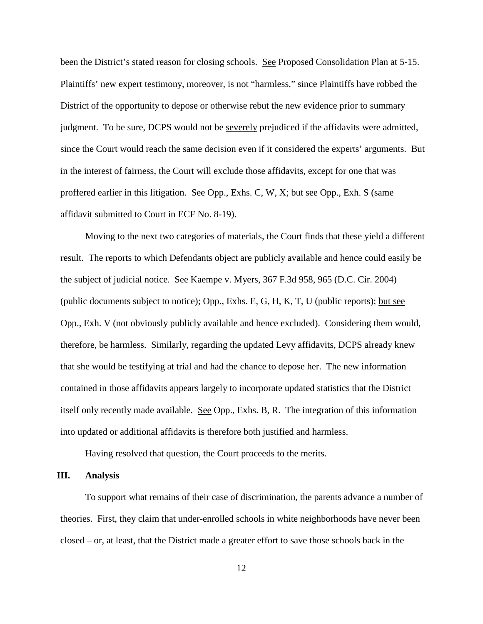been the District's stated reason for closing schools. See Proposed Consolidation Plan at 5-15. Plaintiffs' new expert testimony, moreover, is not "harmless," since Plaintiffs have robbed the District of the opportunity to depose or otherwise rebut the new evidence prior to summary judgment. To be sure, DCPS would not be severely prejudiced if the affidavits were admitted, since the Court would reach the same decision even if it considered the experts' arguments. But in the interest of fairness, the Court will exclude those affidavits, except for one that was proffered earlier in this litigation. See Opp., Exhs. C, W, X; but see Opp., Exh. S (same affidavit submitted to Court in ECF No. 8-19).

Moving to the next two categories of materials, the Court finds that these yield a different result. The reports to which Defendants object are publicly available and hence could easily be the subject of judicial notice. See Kaempe v. Myers, 367 F.3d 958, 965 (D.C. Cir. 2004) (public documents subject to notice); Opp., Exhs. E, G, H, K, T, U (public reports); but see Opp., Exh. V (not obviously publicly available and hence excluded). Considering them would, therefore, be harmless. Similarly, regarding the updated Levy affidavits, DCPS already knew that she would be testifying at trial and had the chance to depose her. The new information contained in those affidavits appears largely to incorporate updated statistics that the District itself only recently made available. See Opp., Exhs. B, R. The integration of this information into updated or additional affidavits is therefore both justified and harmless.

Having resolved that question, the Court proceeds to the merits.

#### **III. Analysis**

To support what remains of their case of discrimination, the parents advance a number of theories. First, they claim that under-enrolled schools in white neighborhoods have never been closed – or, at least, that the District made a greater effort to save those schools back in the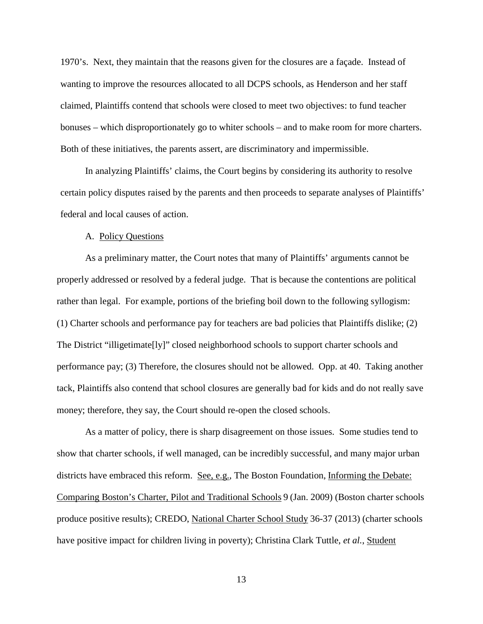1970's. Next, they maintain that the reasons given for the closures are a façade. Instead of wanting to improve the resources allocated to all DCPS schools, as Henderson and her staff claimed, Plaintiffs contend that schools were closed to meet two objectives: to fund teacher bonuses – which disproportionately go to whiter schools – and to make room for more charters. Both of these initiatives, the parents assert, are discriminatory and impermissible.

In analyzing Plaintiffs' claims, the Court begins by considering its authority to resolve certain policy disputes raised by the parents and then proceeds to separate analyses of Plaintiffs' federal and local causes of action.

# A. Policy Questions

As a preliminary matter, the Court notes that many of Plaintiffs' arguments cannot be properly addressed or resolved by a federal judge. That is because the contentions are political rather than legal. For example, portions of the briefing boil down to the following syllogism: (1) Charter schools and performance pay for teachers are bad policies that Plaintiffs dislike; (2) The District "illigetimate[ly]" closed neighborhood schools to support charter schools and performance pay; (3) Therefore, the closures should not be allowed. Opp. at 40. Taking another tack, Plaintiffs also contend that school closures are generally bad for kids and do not really save money; therefore, they say, the Court should re-open the closed schools.

As a matter of policy, there is sharp disagreement on those issues. Some studies tend to show that charter schools, if well managed, can be incredibly successful, and many major urban districts have embraced this reform. See, e.g., The Boston Foundation, Informing the Debate: Comparing Boston's Charter, Pilot and Traditional Schools 9 (Jan. 2009) (Boston charter schools produce positive results); CREDO, National Charter School Study 36-37 (2013) (charter schools have positive impact for children living in poverty); Christina Clark Tuttle, *et al.*, Student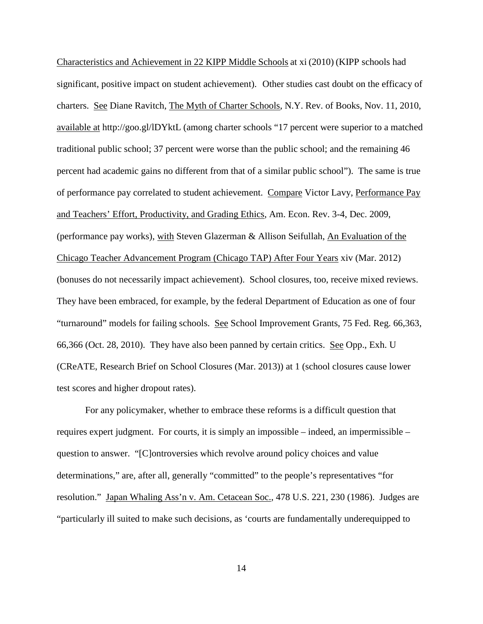Characteristics and Achievement in 22 KIPP Middle Schools at xi (2010) (KIPP schools had significant, positive impact on student achievement). Other studies cast doubt on the efficacy of charters. See Diane Ravitch, The Myth of Charter Schools, N.Y. Rev. of Books, Nov. 11, 2010, available at http://goo.gl/lDYktL (among charter schools "17 percent were superior to a matched traditional public school; 37 percent were worse than the public school; and the remaining 46 percent had academic gains no different from that of a similar public school"). The same is true of performance pay correlated to student achievement. Compare Victor Lavy, Performance Pay and Teachers' Effort, Productivity, and Grading Ethics, Am. Econ. Rev. 3-4, Dec. 2009, (performance pay works), with Steven Glazerman & Allison Seifullah, An Evaluation of the Chicago Teacher Advancement Program (Chicago TAP) After Four Years xiv (Mar. 2012) (bonuses do not necessarily impact achievement). School closures, too, receive mixed reviews. They have been embraced, for example, by the federal Department of Education as one of four "turnaround" models for failing schools. See School Improvement Grants, 75 Fed. Reg. 66,363, 66,366 (Oct. 28, 2010). They have also been panned by certain critics. See Opp., Exh. U (CReATE, Research Brief on School Closures (Mar. 2013)) at 1 (school closures cause lower test scores and higher dropout rates).

For any policymaker, whether to embrace these reforms is a difficult question that requires expert judgment. For courts, it is simply an impossible – indeed, an impermissible – question to answer. "[C]ontroversies which revolve around policy choices and value determinations," are, after all, generally "committed" to the people's representatives "for resolution." Japan Whaling Ass'n v. Am. Cetacean Soc., 478 U.S. 221, 230 (1986). Judges are "particularly ill suited to make such decisions, as 'courts are fundamentally underequipped to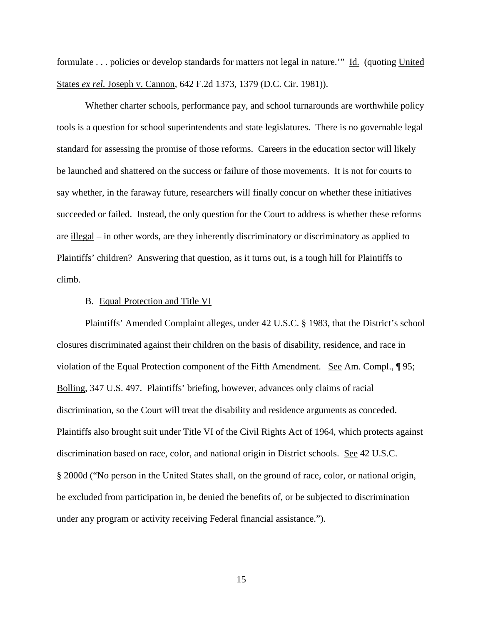formulate . . . policies or develop standards for matters not legal in nature.'" Id. (quoting United States *ex rel.* Joseph v. Cannon, 642 F.2d 1373, 1379 (D.C. Cir. 1981)).

Whether charter schools, performance pay, and school turnarounds are worthwhile policy tools is a question for school superintendents and state legislatures. There is no governable legal standard for assessing the promise of those reforms. Careers in the education sector will likely be launched and shattered on the success or failure of those movements. It is not for courts to say whether, in the faraway future, researchers will finally concur on whether these initiatives succeeded or failed. Instead, the only question for the Court to address is whether these reforms are illegal – in other words, are they inherently discriminatory or discriminatory as applied to Plaintiffs' children? Answering that question, as it turns out, is a tough hill for Plaintiffs to climb.

#### B. Equal Protection and Title VI

Plaintiffs' Amended Complaint alleges, under 42 U.S.C. § 1983, that the District's school closures discriminated against their children on the basis of disability, residence, and race in violation of the Equal Protection component of the Fifth Amendment. See Am. Compl., ¶ 95; Bolling, 347 U.S. 497. Plaintiffs' briefing, however, advances only claims of racial discrimination, so the Court will treat the disability and residence arguments as conceded. Plaintiffs also brought suit under Title VI of the Civil Rights Act of 1964, which protects against discrimination based on race, color, and national origin in District schools. See 42 U.S.C. § 2000d ("No person in the United States shall, on the ground of race, color, or national origin, be excluded from participation in, be denied the benefits of, or be subjected to discrimination under any program or activity receiving Federal financial assistance.").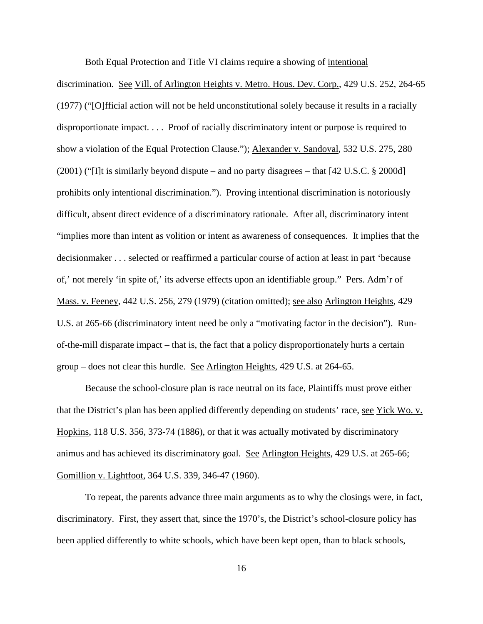Both Equal Protection and Title VI claims require a showing of intentional

discrimination. See Vill. of Arlington Heights v. Metro. Hous. Dev. Corp., 429 U.S. 252, 264-65 (1977) ("[O]fficial action will not be held unconstitutional solely because it results in a racially disproportionate impact. . . . Proof of racially discriminatory intent or purpose is required to show a violation of the Equal Protection Clause."); Alexander v. Sandoval, 532 U.S. 275, 280 (2001) ("I]t is similarly beyond dispute – and no party disagrees – that  $[42 \text{ U.S.C.} \$ 2000d]$ prohibits only intentional discrimination."). Proving intentional discrimination is notoriously difficult, absent direct evidence of a discriminatory rationale. After all, discriminatory intent "implies more than intent as volition or intent as awareness of consequences. It implies that the decisionmaker . . . selected or reaffirmed a particular course of action at least in part 'because of,' not merely 'in spite of,' its adverse effects upon an identifiable group." Pers. Adm'r of Mass. v. Feeney, 442 U.S. 256, 279 (1979) (citation omitted); see also Arlington Heights, 429 U.S. at 265-66 (discriminatory intent need be only a "motivating factor in the decision"). Runof-the-mill disparate impact – that is, the fact that a policy disproportionately hurts a certain group – does not clear this hurdle. See Arlington Heights, 429 U.S. at 264-65.

Because the school-closure plan is race neutral on its face, Plaintiffs must prove either that the District's plan has been applied differently depending on students' race, see Yick Wo. v. Hopkins, 118 U.S. 356, 373-74 (1886), or that it was actually motivated by discriminatory animus and has achieved its discriminatory goal. See Arlington Heights, 429 U.S. at 265-66; Gomillion v. Lightfoot, 364 U.S. 339, 346-47 (1960).

To repeat, the parents advance three main arguments as to why the closings were, in fact, discriminatory. First, they assert that, since the 1970's, the District's school-closure policy has been applied differently to white schools, which have been kept open, than to black schools,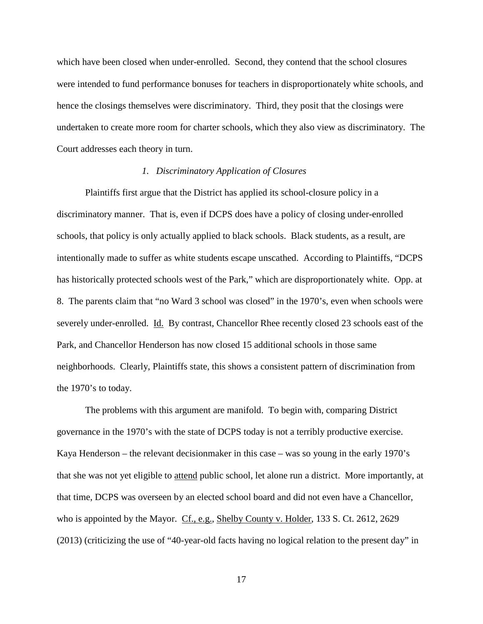which have been closed when under-enrolled. Second, they contend that the school closures were intended to fund performance bonuses for teachers in disproportionately white schools, and hence the closings themselves were discriminatory. Third, they posit that the closings were undertaken to create more room for charter schools, which they also view as discriminatory. The Court addresses each theory in turn.

# *1. Discriminatory Application of Closures*

Plaintiffs first argue that the District has applied its school-closure policy in a discriminatory manner. That is, even if DCPS does have a policy of closing under-enrolled schools, that policy is only actually applied to black schools. Black students, as a result, are intentionally made to suffer as white students escape unscathed. According to Plaintiffs, "DCPS has historically protected schools west of the Park," which are disproportionately white. Opp. at 8. The parents claim that "no Ward 3 school was closed" in the 1970's, even when schools were severely under-enrolled. Id. By contrast, Chancellor Rhee recently closed 23 schools east of the Park, and Chancellor Henderson has now closed 15 additional schools in those same neighborhoods. Clearly, Plaintiffs state, this shows a consistent pattern of discrimination from the 1970's to today.

The problems with this argument are manifold. To begin with, comparing District governance in the 1970's with the state of DCPS today is not a terribly productive exercise. Kaya Henderson – the relevant decisionmaker in this case – was so young in the early 1970's that she was not yet eligible to attend public school, let alone run a district. More importantly, at that time, DCPS was overseen by an elected school board and did not even have a Chancellor, who is appointed by the Mayor. Cf., e.g., Shelby County v. Holder, 133 S. Ct. 2612, 2629 (2013) (criticizing the use of "40-year-old facts having no logical relation to the present day" in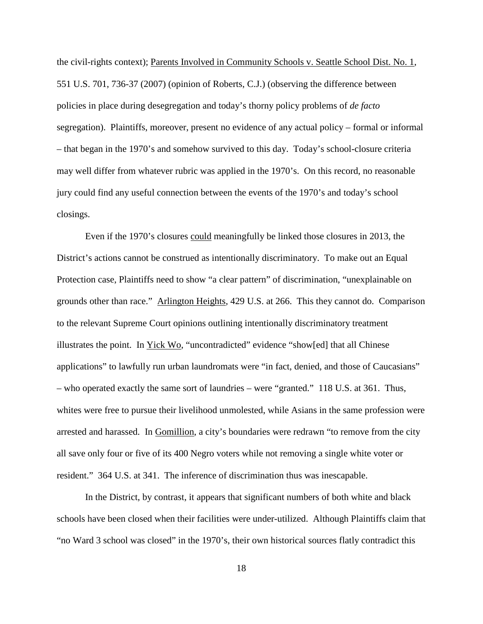the civil-rights context); Parents Involved in Community Schools v. Seattle School Dist. No. 1, 551 U.S. 701, 736-37 (2007) (opinion of Roberts, C.J.) (observing the difference between policies in place during desegregation and today's thorny policy problems of *de facto* segregation). Plaintiffs, moreover, present no evidence of any actual policy – formal or informal – that began in the 1970's and somehow survived to this day. Today's school-closure criteria may well differ from whatever rubric was applied in the 1970's. On this record, no reasonable jury could find any useful connection between the events of the 1970's and today's school closings.

Even if the 1970's closures could meaningfully be linked those closures in 2013, the District's actions cannot be construed as intentionally discriminatory. To make out an Equal Protection case, Plaintiffs need to show "a clear pattern" of discrimination, "unexplainable on grounds other than race." Arlington Heights, 429 U.S. at 266. This they cannot do. Comparison to the relevant Supreme Court opinions outlining intentionally discriminatory treatment illustrates the point. In Yick Wo, "uncontradicted" evidence "show[ed] that all Chinese applications" to lawfully run urban laundromats were "in fact, denied, and those of Caucasians" – who operated exactly the same sort of laundries – were "granted." 118 U.S. at 361. Thus, whites were free to pursue their livelihood unmolested, while Asians in the same profession were arrested and harassed. In Gomillion, a city's boundaries were redrawn "to remove from the city all save only four or five of its 400 Negro voters while not removing a single white voter or resident." 364 U.S. at 341. The inference of discrimination thus was inescapable.

In the District, by contrast, it appears that significant numbers of both white and black schools have been closed when their facilities were under-utilized. Although Plaintiffs claim that "no Ward 3 school was closed" in the 1970's, their own historical sources flatly contradict this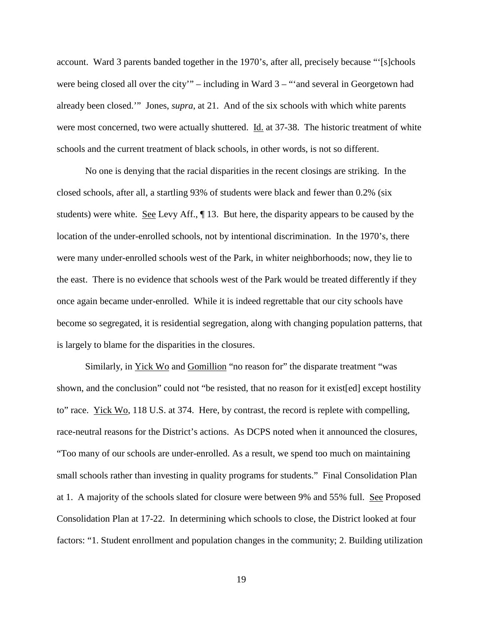account. Ward 3 parents banded together in the 1970's, after all, precisely because "'[s]chools were being closed all over the city'" – including in Ward 3 – "'and several in Georgetown had already been closed.'" Jones, *supra*, at 21. And of the six schools with which white parents were most concerned, two were actually shuttered. Id. at 37-38. The historic treatment of white schools and the current treatment of black schools, in other words, is not so different.

No one is denying that the racial disparities in the recent closings are striking. In the closed schools, after all, a startling 93% of students were black and fewer than 0.2% (six students) were white. <u>See</u> Levy Aff.,  $\P$  13. But here, the disparity appears to be caused by the location of the under-enrolled schools, not by intentional discrimination. In the 1970's, there were many under-enrolled schools west of the Park, in whiter neighborhoods; now, they lie to the east. There is no evidence that schools west of the Park would be treated differently if they once again became under-enrolled. While it is indeed regrettable that our city schools have become so segregated, it is residential segregation, along with changing population patterns, that is largely to blame for the disparities in the closures.

Similarly, in Yick Wo and Gomillion "no reason for" the disparate treatment "was shown, and the conclusion" could not "be resisted, that no reason for it exist[ed] except hostility to" race.  $Yick W<sub>0</sub>$ , 118 U.S. at 374. Here, by contrast, the record is replete with compelling, race-neutral reasons for the District's actions. As DCPS noted when it announced the closures, "Too many of our schools are under-enrolled. As a result, we spend too much on maintaining small schools rather than investing in quality programs for students." Final Consolidation Plan at 1. A majority of the schools slated for closure were between 9% and 55% full. See Proposed Consolidation Plan at 17-22. In determining which schools to close, the District looked at four factors: "1. Student enrollment and population changes in the community; 2. Building utilization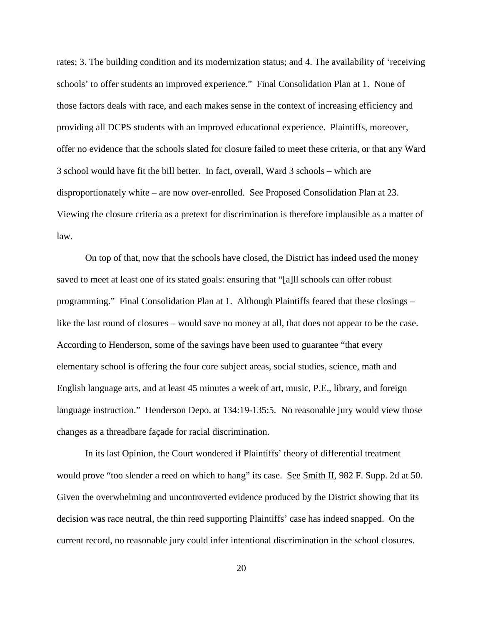rates; 3. The building condition and its modernization status; and 4. The availability of 'receiving schools' to offer students an improved experience." Final Consolidation Plan at 1. None of those factors deals with race, and each makes sense in the context of increasing efficiency and providing all DCPS students with an improved educational experience. Plaintiffs, moreover, offer no evidence that the schools slated for closure failed to meet these criteria, or that any Ward 3 school would have fit the bill better. In fact, overall, Ward 3 schools – which are disproportionately white – are now over-enrolled. See Proposed Consolidation Plan at 23. Viewing the closure criteria as a pretext for discrimination is therefore implausible as a matter of law.

On top of that, now that the schools have closed, the District has indeed used the money saved to meet at least one of its stated goals: ensuring that "[a]ll schools can offer robust programming." Final Consolidation Plan at 1. Although Plaintiffs feared that these closings – like the last round of closures – would save no money at all, that does not appear to be the case. According to Henderson, some of the savings have been used to guarantee "that every elementary school is offering the four core subject areas, social studies, science, math and English language arts, and at least 45 minutes a week of art, music, P.E., library, and foreign language instruction." Henderson Depo. at 134:19-135:5. No reasonable jury would view those changes as a threadbare façade for racial discrimination.

In its last Opinion, the Court wondered if Plaintiffs' theory of differential treatment would prove "too slender a reed on which to hang" its case. See Smith II, 982 F. Supp. 2d at 50. Given the overwhelming and uncontroverted evidence produced by the District showing that its decision was race neutral, the thin reed supporting Plaintiffs' case has indeed snapped. On the current record, no reasonable jury could infer intentional discrimination in the school closures.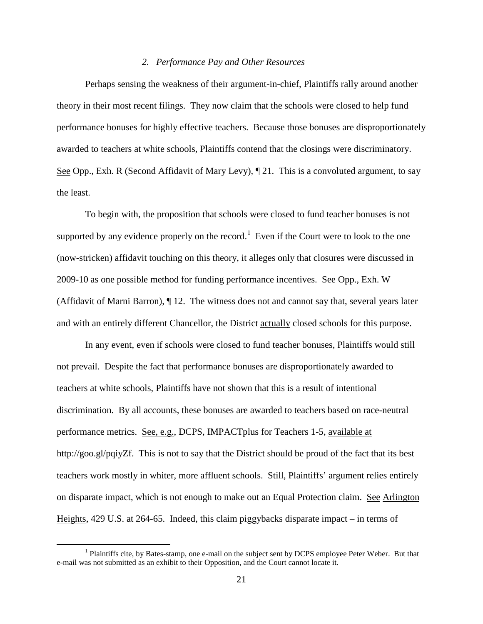#### *2. Performance Pay and Other Resources*

Perhaps sensing the weakness of their argument-in-chief, Plaintiffs rally around another theory in their most recent filings. They now claim that the schools were closed to help fund performance bonuses for highly effective teachers. Because those bonuses are disproportionately awarded to teachers at white schools, Plaintiffs contend that the closings were discriminatory. See Opp., Exh. R (Second Affidavit of Mary Levy),  $\P$  21. This is a convoluted argument, to say the least.

To begin with, the proposition that schools were closed to fund teacher bonuses is not supported by any evidence properly on the record.<sup>[1](#page-20-0)</sup> Even if the Court were to look to the one (now-stricken) affidavit touching on this theory, it alleges only that closures were discussed in 2009-10 as one possible method for funding performance incentives. See Opp., Exh. W (Affidavit of Marni Barron), ¶ 12. The witness does not and cannot say that, several years later and with an entirely different Chancellor, the District actually closed schools for this purpose.

In any event, even if schools were closed to fund teacher bonuses, Plaintiffs would still not prevail. Despite the fact that performance bonuses are disproportionately awarded to teachers at white schools, Plaintiffs have not shown that this is a result of intentional discrimination. By all accounts, these bonuses are awarded to teachers based on race-neutral performance metrics. See, e.g., DCPS, IMPACTplus for Teachers 1-5, available at http://goo.gl/pqiyZf. This is not to say that the District should be proud of the fact that its best teachers work mostly in whiter, more affluent schools. Still, Plaintiffs' argument relies entirely on disparate impact, which is not enough to make out an Equal Protection claim. See Arlington Heights, 429 U.S. at 264-65. Indeed, this claim piggybacks disparate impact – in terms of

<span id="page-20-0"></span><sup>&</sup>lt;sup>1</sup> Plaintiffs cite, by Bates-stamp, one e-mail on the subject sent by DCPS employee Peter Weber. But that e-mail was not submitted as an exhibit to their Opposition, and the Court cannot locate it.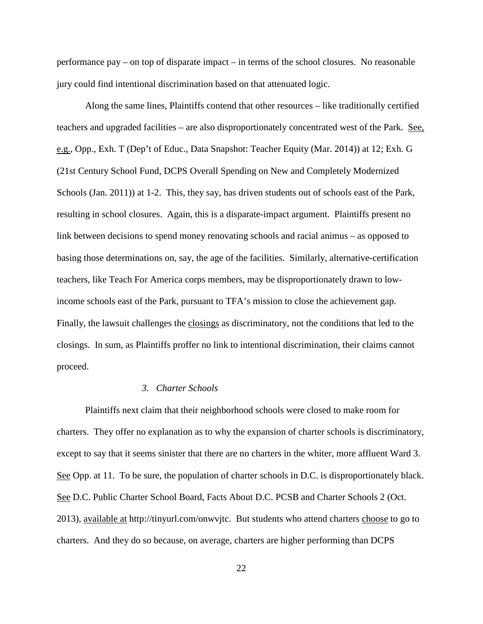performance pay – on top of disparate impact – in terms of the school closures. No reasonable jury could find intentional discrimination based on that attenuated logic.

Along the same lines, Plaintiffs contend that other resources – like traditionally certified teachers and upgraded facilities – are also disproportionately concentrated west of the Park. See, e.g., Opp., Exh. T (Dep't of Educ., Data Snapshot: Teacher Equity (Mar. 2014)) at 12; Exh. G (21st Century School Fund, DCPS Overall Spending on New and Completely Modernized Schools (Jan. 2011)) at 1-2. This, they say, has driven students out of schools east of the Park, resulting in school closures. Again, this is a disparate-impact argument. Plaintiffs present no link between decisions to spend money renovating schools and racial animus – as opposed to basing those determinations on, say, the age of the facilities. Similarly, alternative-certification teachers, like Teach For America corps members, may be disproportionately drawn to lowincome schools east of the Park, pursuant to TFA's mission to close the achievement gap. Finally, the lawsuit challenges the closings as discriminatory, not the conditions that led to the closings. In sum, as Plaintiffs proffer no link to intentional discrimination, their claims cannot proceed.

### *3. Charter Schools*

Plaintiffs next claim that their neighborhood schools were closed to make room for charters. They offer no explanation as to why the expansion of charter schools is discriminatory, except to say that it seems sinister that there are no charters in the whiter, more affluent Ward 3. See Opp. at 11. To be sure, the population of charter schools in D.C. is disproportionately black. See D.C. Public Charter School Board, Facts About D.C. PCSB and Charter Schools 2 (Oct. 2013), available at http://tinyurl.com/onwvjtc. But students who attend charters choose to go to charters. And they do so because, on average, charters are higher performing than DCPS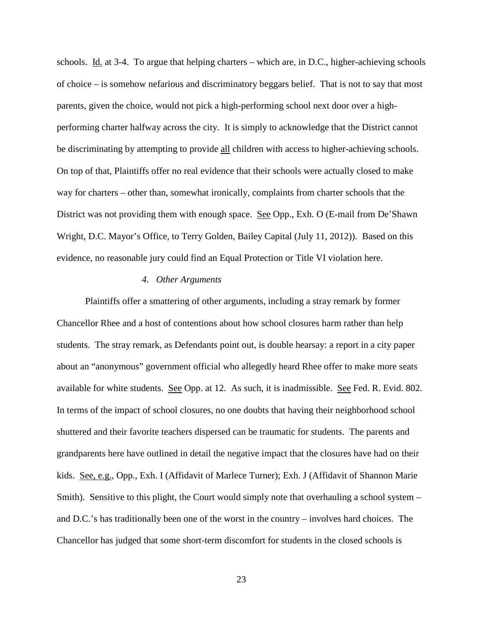schools. Id. at 3-4. To argue that helping charters – which are, in D.C., higher-achieving schools of choice – is somehow nefarious and discriminatory beggars belief. That is not to say that most parents, given the choice, would not pick a high-performing school next door over a highperforming charter halfway across the city. It is simply to acknowledge that the District cannot be discriminating by attempting to provide all children with access to higher-achieving schools. On top of that, Plaintiffs offer no real evidence that their schools were actually closed to make way for charters – other than, somewhat ironically, complaints from charter schools that the District was not providing them with enough space. See Opp., Exh. O (E-mail from De'Shawn Wright, D.C. Mayor's Office, to Terry Golden, Bailey Capital (July 11, 2012)). Based on this evidence, no reasonable jury could find an Equal Protection or Title VI violation here.

## *4. Other Arguments*

Plaintiffs offer a smattering of other arguments, including a stray remark by former Chancellor Rhee and a host of contentions about how school closures harm rather than help students. The stray remark, as Defendants point out, is double hearsay: a report in a city paper about an "anonymous" government official who allegedly heard Rhee offer to make more seats available for white students. See Opp. at 12. As such, it is inadmissible. See Fed. R. Evid. 802. In terms of the impact of school closures, no one doubts that having their neighborhood school shuttered and their favorite teachers dispersed can be traumatic for students. The parents and grandparents here have outlined in detail the negative impact that the closures have had on their kids. See, e.g., Opp., Exh. I (Affidavit of Marlece Turner); Exh. J (Affidavit of Shannon Marie Smith). Sensitive to this plight, the Court would simply note that overhauling a school system – and D.C.'s has traditionally been one of the worst in the country – involves hard choices. The Chancellor has judged that some short-term discomfort for students in the closed schools is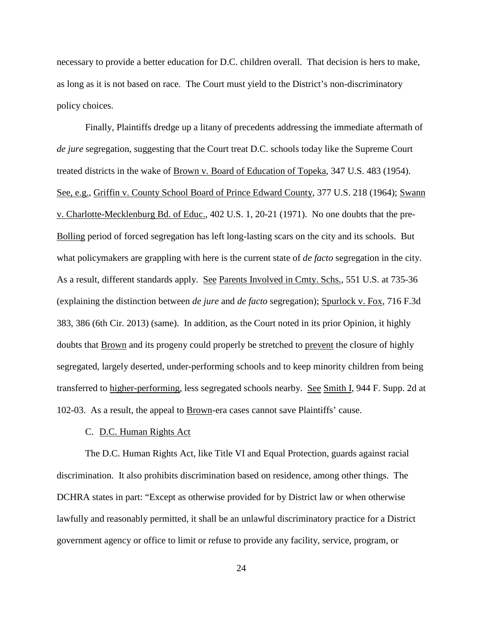necessary to provide a better education for D.C. children overall. That decision is hers to make, as long as it is not based on race. The Court must yield to the District's non-discriminatory policy choices.

Finally, Plaintiffs dredge up a litany of precedents addressing the immediate aftermath of *de jure* segregation, suggesting that the Court treat D.C. schools today like the Supreme Court treated districts in the wake of Brown v. Board of Education of Topeka, 347 U.S. 483 (1954). See, e.g., Griffin v. County School Board of Prince Edward County, 377 U.S. 218 (1964); Swann v. Charlotte-Mecklenburg Bd. of Educ., 402 U.S. 1, 20-21 (1971). No one doubts that the pre-Bolling period of forced segregation has left long-lasting scars on the city and its schools. But what policymakers are grappling with here is the current state of *de facto* segregation in the city. As a result, different standards apply. See Parents Involved in Cmty. Schs., 551 U.S. at 735-36 (explaining the distinction between *de jure* and *de facto* segregation); Spurlock v. Fox, 716 F.3d 383, 386 (6th Cir. 2013) (same). In addition, as the Court noted in its prior Opinion, it highly doubts that Brown and its progeny could properly be stretched to prevent the closure of highly segregated, largely deserted, under-performing schools and to keep minority children from being transferred to higher-performing, less segregated schools nearby. See Smith I, 944 F. Supp. 2d at 102-03. As a result, the appeal to Brown-era cases cannot save Plaintiffs' cause.

# C. D.C. Human Rights Act

The D.C. Human Rights Act, like Title VI and Equal Protection, guards against racial discrimination. It also prohibits discrimination based on residence, among other things. The DCHRA states in part: "Except as otherwise provided for by District law or when otherwise lawfully and reasonably permitted, it shall be an unlawful discriminatory practice for a District government agency or office to limit or refuse to provide any facility, service, program, or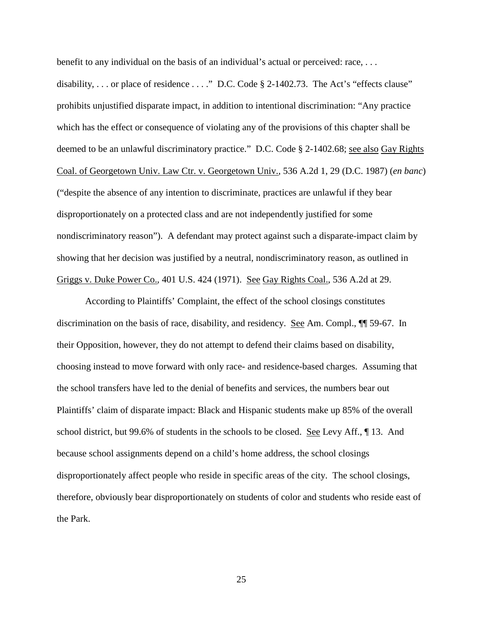benefit to any individual on the basis of an individual's actual or perceived: race,  $\dots$ 

disability, ... or place of residence ...." D.C. Code § 2-1402.73. The Act's "effects clause" prohibits unjustified disparate impact, in addition to intentional discrimination: "Any practice which has the effect or consequence of violating any of the provisions of this chapter shall be deemed to be an unlawful discriminatory practice." D.C. Code § 2-1402.68; <u>see also Gay Rights</u> Coal. of Georgetown Univ. Law Ctr. v. Georgetown Univ., 536 A.2d 1, 29 (D.C. 1987) (*en banc*) ("despite the absence of any intention to discriminate, practices are unlawful if they bear disproportionately on a protected class and are not independently justified for some nondiscriminatory reason"). A defendant may protect against such a disparate-impact claim by showing that her decision was justified by a neutral, nondiscriminatory reason, as outlined in Griggs v. Duke Power Co., 401 U.S. 424 (1971). See Gay Rights Coal., 536 A.2d at 29.

According to Plaintiffs' Complaint, the effect of the school closings constitutes discrimination on the basis of race, disability, and residency. See Am. Compl., ¶¶ 59-67. In their Opposition, however, they do not attempt to defend their claims based on disability, choosing instead to move forward with only race- and residence-based charges. Assuming that the school transfers have led to the denial of benefits and services, the numbers bear out Plaintiffs' claim of disparate impact: Black and Hispanic students make up 85% of the overall school district, but 99.6% of students in the schools to be closed. <u>See</u> Levy Aff., ¶ 13. And because school assignments depend on a child's home address, the school closings disproportionately affect people who reside in specific areas of the city. The school closings, therefore, obviously bear disproportionately on students of color and students who reside east of the Park.